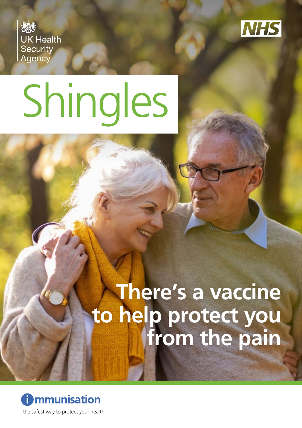**UK Health** Security<br>Agency



# Shingles

# **There's a vaccine to help protect you from the pain**

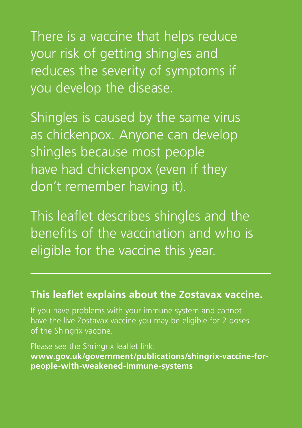There is a vaccine that helps reduce your risk of getting shingles and reduces the severity of symptoms if you develop the disease.

Shingles is caused by the same virus as chickenpox. Anyone can develop shingles because most people have had chickenpox (even if they don't remember having it).

This leaflet describes shingles and the benefits of the vaccination and who is eligible for the vaccine this year.

#### **This leaflet explains about the Zostavax vaccine.**

If you have problems with your immune system and cannot have the live Zostavax vaccine you may be eligible for 2 doses of the Shingrix vaccine.

Please see the Shringrix leaflet link: **[www.gov.uk/government/publications/shingrix-vaccine-for](http://www.gov.uk/government/publications/shingrix-vaccine-for-people-with-weakened-immune-systems)[people-with-weakened-immune-systems](http://www.gov.uk/government/publications/shingrix-vaccine-for-people-with-weakened-immune-systems)**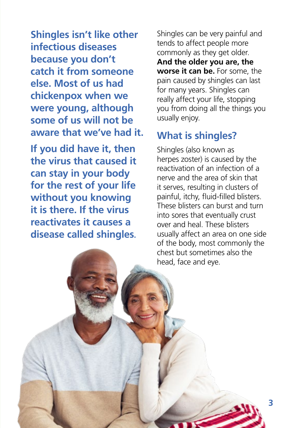**Shingles isn't like other infectious diseases because you don't catch it from someone else. Most of us had chickenpox when we were young, although some of us will not be aware that we've had it.** 

**If you did have it, then the virus that caused it can stay in your body for the rest of your life without you knowing it is there. If the virus reactivates it causes a disease called shingles.** Shingles can be very painful and tends to affect people more commonly as they get older. **And the older you are, the worse it can be.** For some, the pain caused by shingles can last for many years. Shingles can really affect your life, stopping you from doing all the things you usually enjoy.

#### **What is shingles?**

Shingles (also known as herpes zoster) is caused by the reactivation of an infection of a nerve and the area of skin that it serves, resulting in clusters of painful, itchy, fluid-filled blisters. These blisters can burst and turn into sores that eventually crust over and heal. These blisters usually affect an area on one side of the body, most commonly the chest but sometimes also the head, face and eye.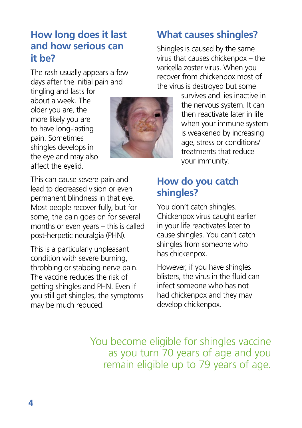#### **How long does it last and how serious can it be?**

The rash usually appears a few days after the initial pain and

tingling and lasts for about a week. The older you are, the more likely you are to have long-lasting pain. Sometimes shingles develops in the eye and may also affect the eyelid.



#### **What causes shingles?**

Shingles is caused by the same virus that causes chickenpox – the varicella zoster virus. When you recover from chickenpox most of the virus is destroyed but some

> survives and lies inactive in the nervous system. It can then reactivate later in life when your immune system is weakened by increasing age, stress or conditions/ treatments that reduce your immunity.

This can cause severe pain and lead to decreased vision or even permanent blindness in that eye. Most people recover fully, but for some, the pain goes on for several months or even years – this is called post-herpetic neuralgia (PHN).

This is a particularly unpleasant condition with severe burning, throbbing or stabbing nerve pain. The vaccine reduces the risk of getting shingles and PHN. Even if you still get shingles, the symptoms may be much reduced.

#### **How do you catch shingles?**

You don't catch shingles. Chickenpox virus caught earlier in your life reactivates later to cause shingles. You can't catch shingles from someone who has chickenpox.

However, if you have shingles blisters, the virus in the fluid can infect someone who has not had chickenpox and they may develop chickenpox.

You become eligible for shingles vaccine as you turn 70 years of age and you remain eligible up to 79 years of age.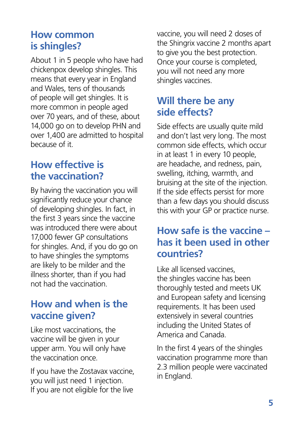#### **How common is shingles?**

About 1 in 5 people who have had chickenpox develop shingles. This means that every year in England and Wales, tens of thousands of people will get shingles. It is more common in people aged over 70 years, and of these, about 14,000 go on to develop PHN and over 1,400 are admitted to hospital because of it.

## **How effective is the vaccination?**

By having the vaccination you will significantly reduce your chance of developing shingles. In fact, in the first 3 years since the vaccine was introduced there were about 17,000 fewer GP consultations for shingles. And, if you do go on to have shingles the symptoms are likely to be milder and the illness shorter, than if you had not had the vaccination.

#### **How and when is the vaccine given?**

Like most vaccinations, the vaccine will be given in your upper arm. You will only have the vaccination once.

If you have the Zostavax vaccine, you will just need 1 injection. If you are not eligible for the live

vaccine, you will need 2 doses of the Shingrix vaccine 2 months apart to give you the best protection. Once your course is completed, you will not need any more shingles vaccines.

## **Will there be any side effects?**

Side effects are usually quite mild and don't last very long. The most common side effects, which occur in at least 1 in every 10 people, are headache, and redness, pain, swelling, itching, warmth, and bruising at the site of the injection. If the side effects persist for more than a few days you should discuss this with your GP or practice nurse.

#### **How safe is the vaccine – has it been used in other countries?**

Like all licensed vaccines, the shingles vaccine has been thoroughly tested and meets UK and European safety and licensing requirements. It has been used extensively in several countries including the United States of America and Canada.

In the first 4 years of the shingles vaccination programme more than 2.3 million people were vaccinated in England.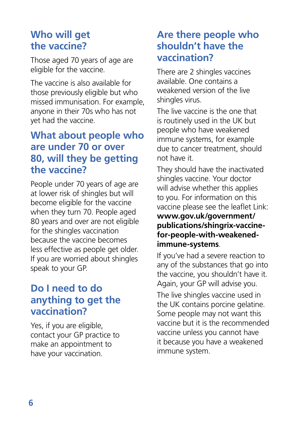#### **Who will get the vaccine?**

Those aged 70 years of age are eligible for the vaccine.

The vaccine is also available for those previously eligible but who missed immunisation. For example, anyone in their 70s who has not yet had the vaccine.

#### **What about people who are under 70 or over 80, will they be getting the vaccine?**

People under 70 years of age are at lower risk of shingles but will become eligible for the vaccine when they turn 70. People aged 80 years and over are not eligible for the shingles vaccination because the vaccine becomes less effective as people get older. If you are worried about shingles speak to your GP.

## **Do I need to do anything to get the vaccination?**

Yes, if you are eligible, contact your GP practice to make an appointment to have your vaccination.

#### **Are there people who shouldn't have the vaccination?**

There are 2 shingles vaccines available. One contains a weakened version of the live shingles virus.

The live vaccine is the one that is routinely used in the UK but people who have weakened immune systems, for example due to cancer treatment, should not have it.

They should have the inactivated shingles vaccine. Your doctor will advise whether this applies to you. For information on this vaccine please see the leaflet Link: **[www.gov.uk/government/](http://www.gov.uk/government/publications/shingrix-vaccine-for-people-with-weakened-immune-systems) [publications/shingrix-vaccine](http://www.gov.uk/government/publications/shingrix-vaccine-for-people-with-weakened-immune-systems)[for-people-with-weakened](http://www.gov.uk/government/publications/shingrix-vaccine-for-people-with-weakened-immune-systems)[immune-systems](http://www.gov.uk/government/publications/shingrix-vaccine-for-people-with-weakened-immune-systems)**.

If you've had a severe reaction to any of the substances that go into the vaccine, you shouldn't have it. Again, your GP will advise you. The live shingles vaccine used in the UK contains porcine gelatine. Some people may not want this vaccine but it is the recommended vaccine unless you cannot have it because you have a weakened immune system.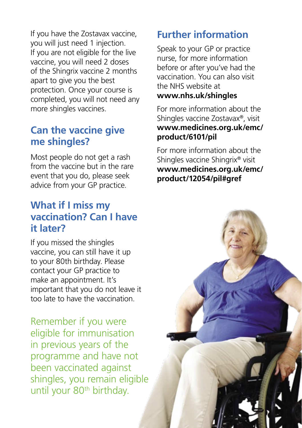If you have the Zostavax vaccine, you will just need 1 injection. If you are not eligible for the live vaccine, you will need 2 doses of the Shingrix vaccine 2 months apart to give you the best protection. Once your course is completed, you will not need any more shingles vaccines.

#### **Can the vaccine give me shingles?**

Most people do not get a rash from the vaccine but in the rare event that you do, please seek advice from your GP practice.

#### **What if I miss my vaccination? Can I have it later?**

If you missed the shingles vaccine, you can still have it up to your 80th birthday. Please contact your GP practice to make an appointment. It's important that you do not leave it too late to have the vaccination.

Remember if you were eligible for immunisation in previous years of the programme and have not been vaccinated against shingles, you remain eligible until your 80<sup>th</sup> birthday.

#### **Further information**

Speak to your GP or practice nurse, for more information before or after you've had the vaccination. You can also visit the NHS website at **[www.nhs.uk/shingles](http://www.nhs.uk/shingles)**

For more information about the Shingles vaccine Zostavax®, visit **[www.medicines.org.uk/emc/](http://www.medicines.org.uk/emc/product/6101/pil) [product/6101/pil](http://www.medicines.org.uk/emc/product/6101/pil)**

For more information about the Shingles vaccine Shingrix® visit **[www.medicines.org.uk/emc/](http://www.medicines.org.uk/emc/product/12054/pil#gref) [product/12054/pil#gref](http://www.medicines.org.uk/emc/product/12054/pil#gref)**